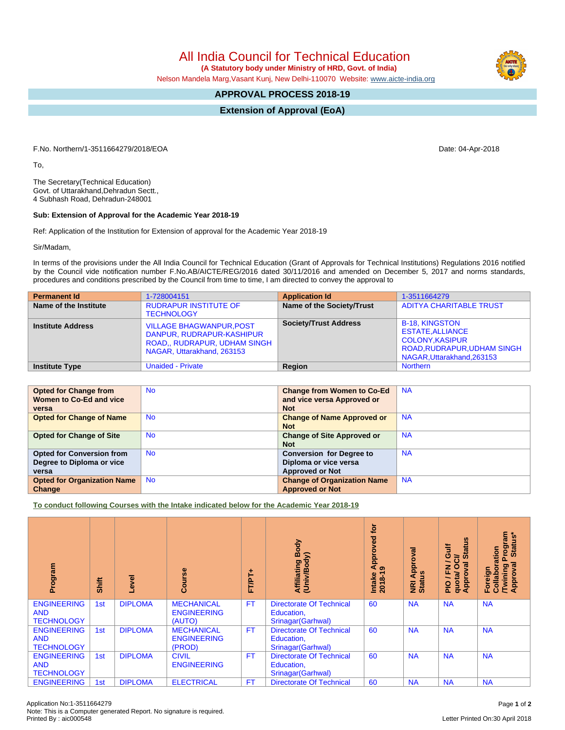All India Council for Technical Education

 **(A Statutory body under Ministry of HRD, Govt. of India)** Nelson Mandela Marg,Vasant Kunj, New Delhi-110070 Website: [www.aicte-india.org](http://www.aicte-india.org)

## **APPROVAL PROCESS 2018-19**

**Extension of Approval (EoA)**

F.No. Northern/1-3511664279/2018/EOA Date: 04-Apr-2018

To,

The Secretary(Technical Education) Govt. of Uttarakhand,Dehradun Sectt., 4 Subhash Road, Dehradun-248001

## **Sub: Extension of Approval for the Academic Year 2018-19**

Ref: Application of the Institution for Extension of approval for the Academic Year 2018-19

Sir/Madam,

In terms of the provisions under the All India Council for Technical Education (Grant of Approvals for Technical Institutions) Regulations 2016 notified by the Council vide notification number F.No.AB/AICTE/REG/2016 dated 30/11/2016 and amended on December 5, 2017 and norms standards, procedures and conditions prescribed by the Council from time to time, I am directed to convey the approval to

| <b>Permanent Id</b>      | 1-728004151                                                                                                                | <b>Application Id</b>        | 1-3511664279                                                                                                                          |
|--------------------------|----------------------------------------------------------------------------------------------------------------------------|------------------------------|---------------------------------------------------------------------------------------------------------------------------------------|
| Name of the Institute    | <b>RUDRAPUR INSTITUTE OF</b><br><b>TECHNOLOGY</b>                                                                          | Name of the Society/Trust    | <b>ADITYA CHARITABLE TRUST</b>                                                                                                        |
| <b>Institute Address</b> | <b>VILLAGE BHAGWANPUR, POST</b><br>DANPUR, RUDRAPUR-KASHIPUR<br>ROAD,, RUDRAPUR, UDHAM SINGH<br>NAGAR, Uttarakhand, 263153 | <b>Society/Trust Address</b> | <b>B-18. KINGSTON</b><br><b>ESTATE.ALLIANCE</b><br><b>COLONY.KASIPUR</b><br>ROAD, RUDRAPUR, UDHAM SINGH<br>NAGAR, Uttarakhand, 263153 |
| <b>Institute Type</b>    | <b>Unaided - Private</b>                                                                                                   | Region                       | <b>Northern</b>                                                                                                                       |

| <b>Opted for Change from</b>       | <b>No</b> | <b>Change from Women to Co-Ed</b>  | <b>NA</b> |
|------------------------------------|-----------|------------------------------------|-----------|
| <b>Women to Co-Ed and vice</b>     |           | and vice versa Approved or         |           |
| versa                              |           | <b>Not</b>                         |           |
| <b>Opted for Change of Name</b>    | <b>No</b> | <b>Change of Name Approved or</b>  | <b>NA</b> |
|                                    |           | <b>Not</b>                         |           |
| <b>Opted for Change of Site</b>    | <b>No</b> | <b>Change of Site Approved or</b>  | <b>NA</b> |
|                                    |           | <b>Not</b>                         |           |
| <b>Opted for Conversion from</b>   | No.       | <b>Conversion for Degree to</b>    | <b>NA</b> |
| Degree to Diploma or vice          |           | Diploma or vice versa              |           |
| versa                              |           | <b>Approved or Not</b>             |           |
| <b>Opted for Organization Name</b> | <b>No</b> | <b>Change of Organization Name</b> | <b>NA</b> |
| Change                             |           | <b>Approved or Not</b>             |           |

**To conduct following Courses with the Intake indicated below for the Academic Year 2018-19**

| Program                                               | Shift | Level          | rse<br>යි                                         | 广<br>hT<br>hT | Body<br>Affiliating Book<br>(Univ/Body)                             | <b>jo</b><br>ved<br>Approv<br>$\sigma$<br>$2018 - 1$<br>Intake | ड़<br>Approv<br><b>NRI Ap<br/>Status</b> | Sn<br>₹<br>ಕ<br>ŏ<br>ဖ<br>⇒<br>ပ<br>∽<br>0<br>ത<br>준<br>quotal<br>Appro<br>$\frac{1}{2}$ | rogram<br>Status*<br>boration<br>ă<br><b>Twining</b><br>Approval<br>Foreign<br>Collat |
|-------------------------------------------------------|-------|----------------|---------------------------------------------------|---------------|---------------------------------------------------------------------|----------------------------------------------------------------|------------------------------------------|------------------------------------------------------------------------------------------|---------------------------------------------------------------------------------------|
| <b>ENGINEERING</b><br><b>AND</b><br><b>TECHNOLOGY</b> | 1st   | <b>DIPLOMA</b> | <b>MECHANICAL</b><br><b>ENGINEERING</b><br>(AUTO) | <b>FT</b>     | <b>Directorate Of Technical</b><br>Education,<br>Srinagar (Garhwal) | 60                                                             | <b>NA</b>                                | <b>NA</b>                                                                                | <b>NA</b>                                                                             |
| <b>ENGINEERING</b><br><b>AND</b><br><b>TECHNOLOGY</b> | 1st   | <b>DIPLOMA</b> | <b>MECHANICAL</b><br><b>ENGINEERING</b><br>(PROD) | <b>FT</b>     | <b>Directorate Of Technical</b><br>Education,<br>Srinagar (Garhwal) | 60                                                             | <b>NA</b>                                | <b>NA</b>                                                                                | <b>NA</b>                                                                             |
| <b>ENGINEERING</b><br><b>AND</b><br><b>TECHNOLOGY</b> | 1st   | <b>DIPLOMA</b> | <b>CIVIL</b><br><b>ENGINEERING</b>                | <b>FT</b>     | <b>Directorate Of Technical</b><br>Education,<br>Srinagar (Garhwal) | 60                                                             | <b>NA</b>                                | <b>NA</b>                                                                                | <b>NA</b>                                                                             |
| <b>ENGINEERING</b>                                    | 1st   | <b>DIPLOMA</b> | <b>ELECTRICAL</b>                                 | FT            | <b>Directorate Of Technical</b>                                     | 60                                                             | <b>NA</b>                                | <b>NA</b>                                                                                | <b>NA</b>                                                                             |